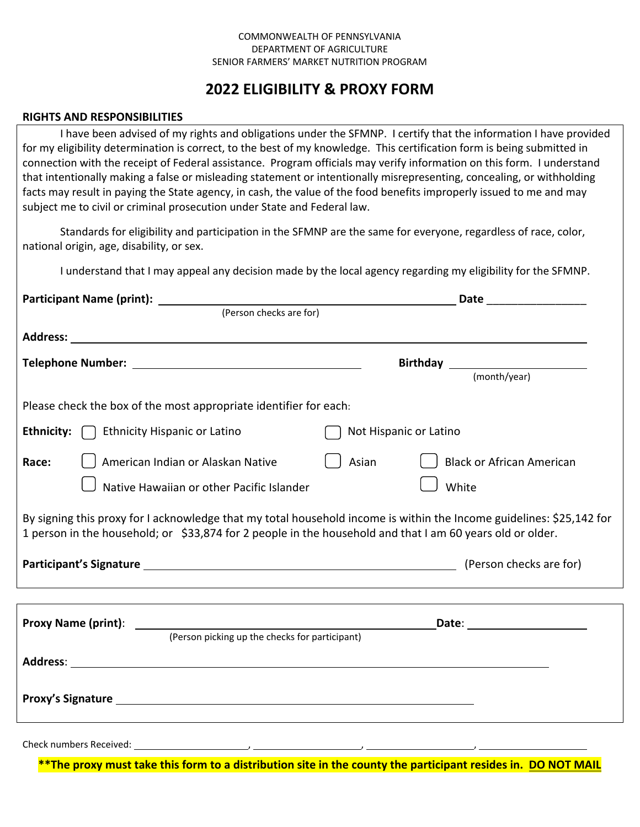## COMMONWEALTH OF PENNSYLVANIA DEPARTMENT OF AGRICULTURE SENIOR FARMERS' MARKET NUTRITION PROGRAM

## **2022 ELIGIBILITY & PROXY FORM**

## **RIGHTS AND RESPONSIBILITIES**

I have been advised of my rights and obligations under the SFMNP. I certify that the information I have provided for my eligibility determination is correct, to the best of my knowledge. This certification form is being submitted in connection with the receipt of Federal assistance. Program officials may verify information on this form. I understand that intentionally making a false or misleading statement or intentionally misrepresenting, concealing, or withholding facts may result in paying the State agency, in cash, the value of the food benefits improperly issued to me and may subject me to civil or criminal prosecution under State and Federal law.

Standards for eligibility and participation in the SFMNP are the same for everyone, regardless of race, color, national origin, age, disability, or sex.

I understand that I may appeal any decision made by the local agency regarding my eligibility for the SFMNP.

|                                                                                                                                                                                                                                   | Date ___________________                  |
|-----------------------------------------------------------------------------------------------------------------------------------------------------------------------------------------------------------------------------------|-------------------------------------------|
| (Person checks are for)                                                                                                                                                                                                           |                                           |
|                                                                                                                                                                                                                                   |                                           |
|                                                                                                                                                                                                                                   |                                           |
|                                                                                                                                                                                                                                   |                                           |
| Please check the box of the most appropriate identifier for each:                                                                                                                                                                 |                                           |
| <b>Ethnicity:</b>   Ethnicity Hispanic or Latino                                                                                                                                                                                  | Not Hispanic or Latino                    |
| American Indian or Alaskan Native<br>Race:                                                                                                                                                                                        | Asian<br><b>Black or African American</b> |
| Native Hawaiian or other Pacific Islander                                                                                                                                                                                         | White                                     |
| By signing this proxy for I acknowledge that my total household income is within the Income guidelines: \$25,142 for<br>1 person in the household; or \$33,874 for 2 people in the household and that I am 60 years old or older. |                                           |
|                                                                                                                                                                                                                                   |                                           |
|                                                                                                                                                                                                                                   |                                           |
| (Person picking up the checks for participant)                                                                                                                                                                                    | Date: ______________________              |
|                                                                                                                                                                                                                                   |                                           |
|                                                                                                                                                                                                                                   |                                           |
|                                                                                                                                                                                                                                   |                                           |

Check numbers Received:

\*\* The proxy must take this form to a distribution site in the county the participant resides in. DO NOT MAIL